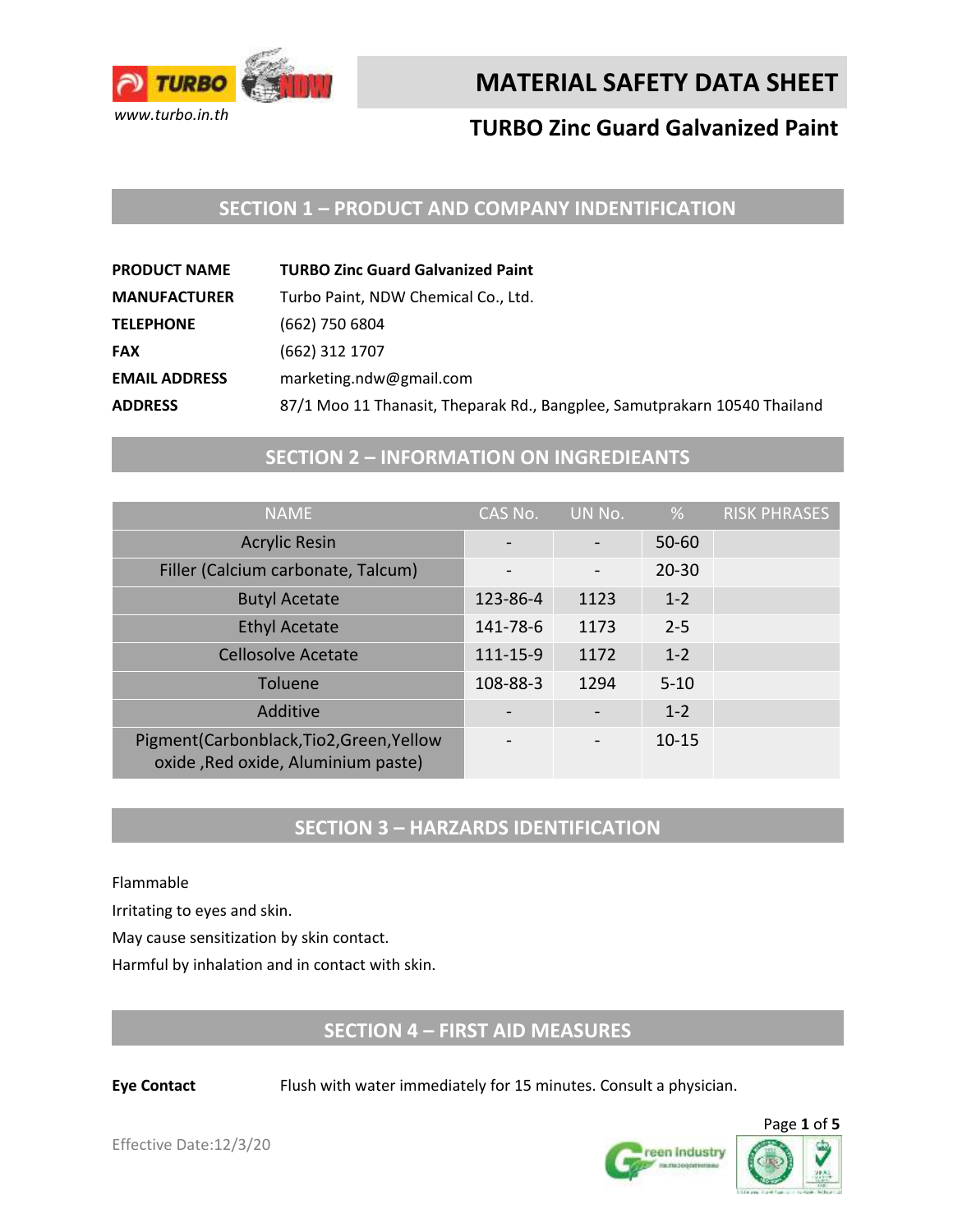

# **TURBO Zinc Guard Galvanized Paint**

## **SECTION 1 – PRODUCT AND COMPANY INDENTIFICATION**

| <b>TURBO Zinc Guard Galvanized Paint</b>                                  |
|---------------------------------------------------------------------------|
| Turbo Paint, NDW Chemical Co., Ltd.                                       |
| (662) 750 6804                                                            |
| (662) 312 1707                                                            |
| marketing.ndw@gmail.com                                                   |
| 87/1 Moo 11 Thanasit, Theparak Rd., Bangplee, Samutprakarn 10540 Thailand |
|                                                                           |

## **SECTION 2 – INFORMATION ON INGREDIEANTS**

| <b>NAME</b>                                                                 | CAS No.                  | UN No. | %         | <b>RISK PHRASES</b> |
|-----------------------------------------------------------------------------|--------------------------|--------|-----------|---------------------|
| <b>Acrylic Resin</b>                                                        |                          |        | $50 - 60$ |                     |
| Filler (Calcium carbonate, Talcum)                                          | $\overline{\phantom{a}}$ |        | $20 - 30$ |                     |
| <b>Butyl Acetate</b>                                                        | 123-86-4                 | 1123   | $1 - 2$   |                     |
| <b>Ethyl Acetate</b>                                                        | 141-78-6                 | 1173   | $2 - 5$   |                     |
| <b>Cellosolve Acetate</b>                                                   | 111-15-9                 | 1172   | $1 - 2$   |                     |
| Toluene                                                                     | 108-88-3                 | 1294   | $5 - 10$  |                     |
| Additive                                                                    |                          |        | $1 - 2$   |                     |
| Pigment(Carbonblack,Tio2,Green,Yellow<br>oxide, Red oxide, Aluminium paste) | $\qquad \qquad$          |        | $10 - 15$ |                     |

## **SECTION 3 – HARZARDS IDENTIFICATION**

Flammable

Irritating to eyes and skin.

May cause sensitization by skin contact.

Harmful by inhalation and in contact with skin.

## **SECTION 4 – FIRST AID MEASURES**

**Eye Contact** Flush with water immediately for 15 minutes. Consult a physician.



Effective Date:12/3/20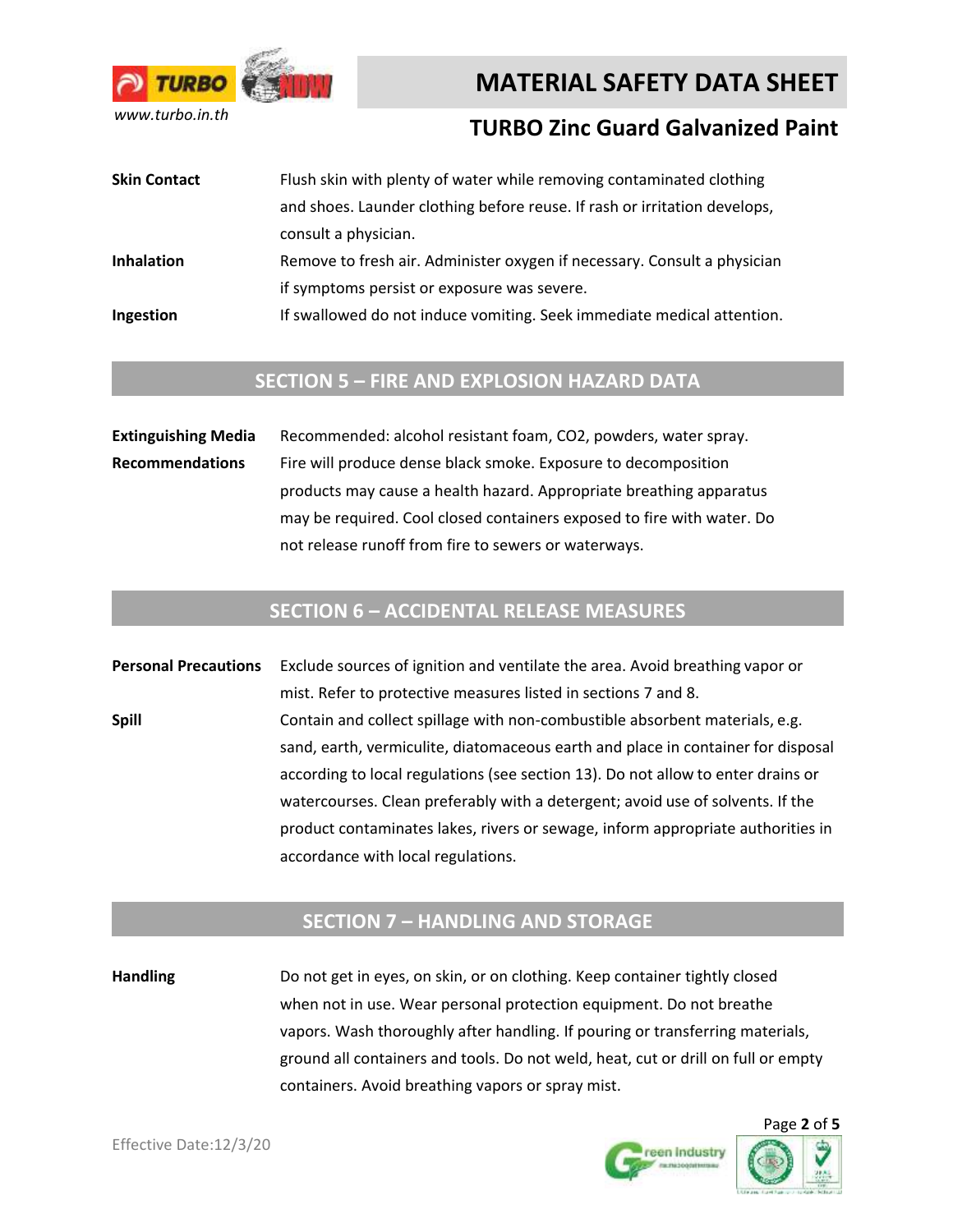

## **TURBO Zinc Guard Galvanized Paint**

**Skin Contact** Flush skin with plenty of water while removing contaminated clothing and shoes. Launder clothing before reuse. If rash or irritation develops, consult a physician. **Inhalation** Remove to fresh air. Administer oxygen if necessary. Consult a physician if symptoms persist or exposure was severe. **Ingestion** If swallowed do not induce vomiting. Seek immediate medical attention.

#### **SECTION 5 – FIRE AND EXPLOSION HAZARD DATA**

**Extinguishing Media** Recommended: alcohol resistant foam, CO2, powders, water spray. **Recommendations** Fire will produce dense black smoke. Exposure to decomposition products may cause a health hazard. Appropriate breathing apparatus may be required. Cool closed containers exposed to fire with water. Do not release runoff from fire to sewers or waterways.

## **SECTION 6 – ACCIDENTAL RELEASE MEASURES**

**Personal Precautions** Exclude sources of ignition and ventilate the area. Avoid breathing vapor or mist. Refer to protective measures listed in sections 7 and 8. **Spill** Contain and collect spillage with non-combustible absorbent materials, e.g. sand, earth, vermiculite, diatomaceous earth and place in container for disposal according to local regulations (see section 13). Do not allow to enter drains or watercourses. Clean preferably with a detergent; avoid use of solvents. If the product contaminates lakes, rivers or sewage, inform appropriate authorities in accordance with local regulations.

#### **SECTION 7 – HANDLING AND STORAGE**

**Handling** Do not get in eyes, on skin, or on clothing. Keep container tightly closed when not in use. Wear personal protection equipment. Do not breathe vapors. Wash thoroughly after handling. If pouring or transferring materials, ground all containers and tools. Do not weld, heat, cut or drill on full or empty containers. Avoid breathing vapors or spray mist.



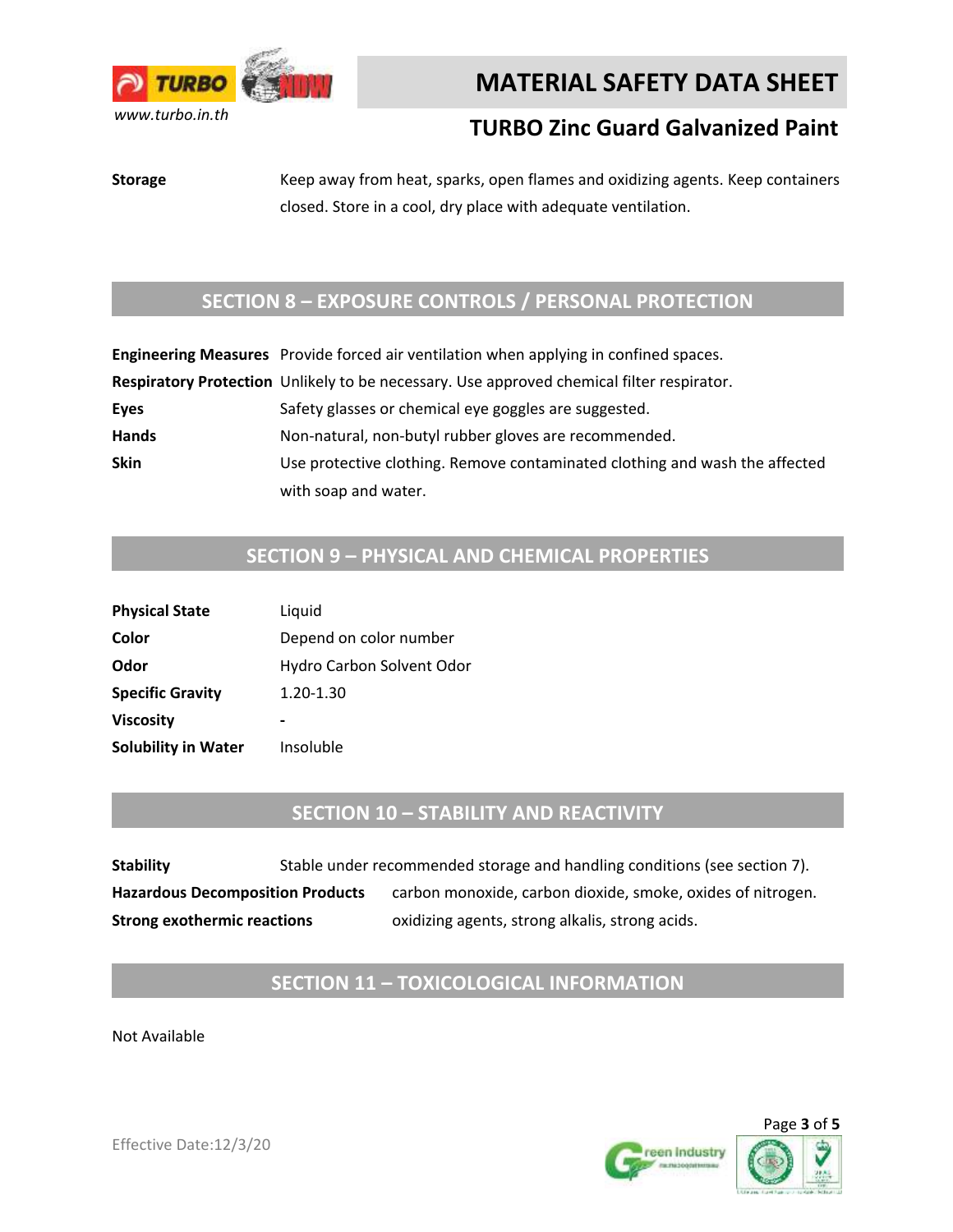

# **TURBO Zinc Guard Galvanized Paint**

**Storage** Keep away from heat, sparks, open flames and oxidizing agents. Keep containers closed. Store in a cool, dry place with adequate ventilation.

## **SECTION 8 – EXPOSURE CONTROLS / PERSONAL PROTECTION**

|              | Engineering Measures Provide forced air ventilation when applying in confined spaces.     |
|--------------|-------------------------------------------------------------------------------------------|
|              | Respiratory Protection Unlikely to be necessary. Use approved chemical filter respirator. |
| <b>Eyes</b>  | Safety glasses or chemical eye goggles are suggested.                                     |
| <b>Hands</b> | Non-natural, non-butyl rubber gloves are recommended.                                     |
| <b>Skin</b>  | Use protective clothing. Remove contaminated clothing and wash the affected               |
|              | with soap and water.                                                                      |

# **SECTION 9 – PHYSICAL AND CHEMICAL PROPERTIES**

| <b>Physical State</b>      | Liquid                    |
|----------------------------|---------------------------|
| Color                      | Depend on color number    |
| Odor                       | Hydro Carbon Solvent Odor |
| <b>Specific Gravity</b>    | 1.20-1.30                 |
| <b>Viscosity</b>           |                           |
| <b>Solubility in Water</b> | Insoluble                 |

#### **SECTION 10 – STABILITY AND REACTIVITY**

**Stability** Stable under recommended storage and handling conditions (see section 7). Hazardous Decomposition Products carbon monoxide, carbon dioxide, smoke, oxides of nitrogen. **Strong exothermic reactions oxidizing agents, strong alkalis, strong acids.** 

# **SECTION 11 – TOXICOLOGICAL INFORMATION**

Not Available





Effective Date:12/3/20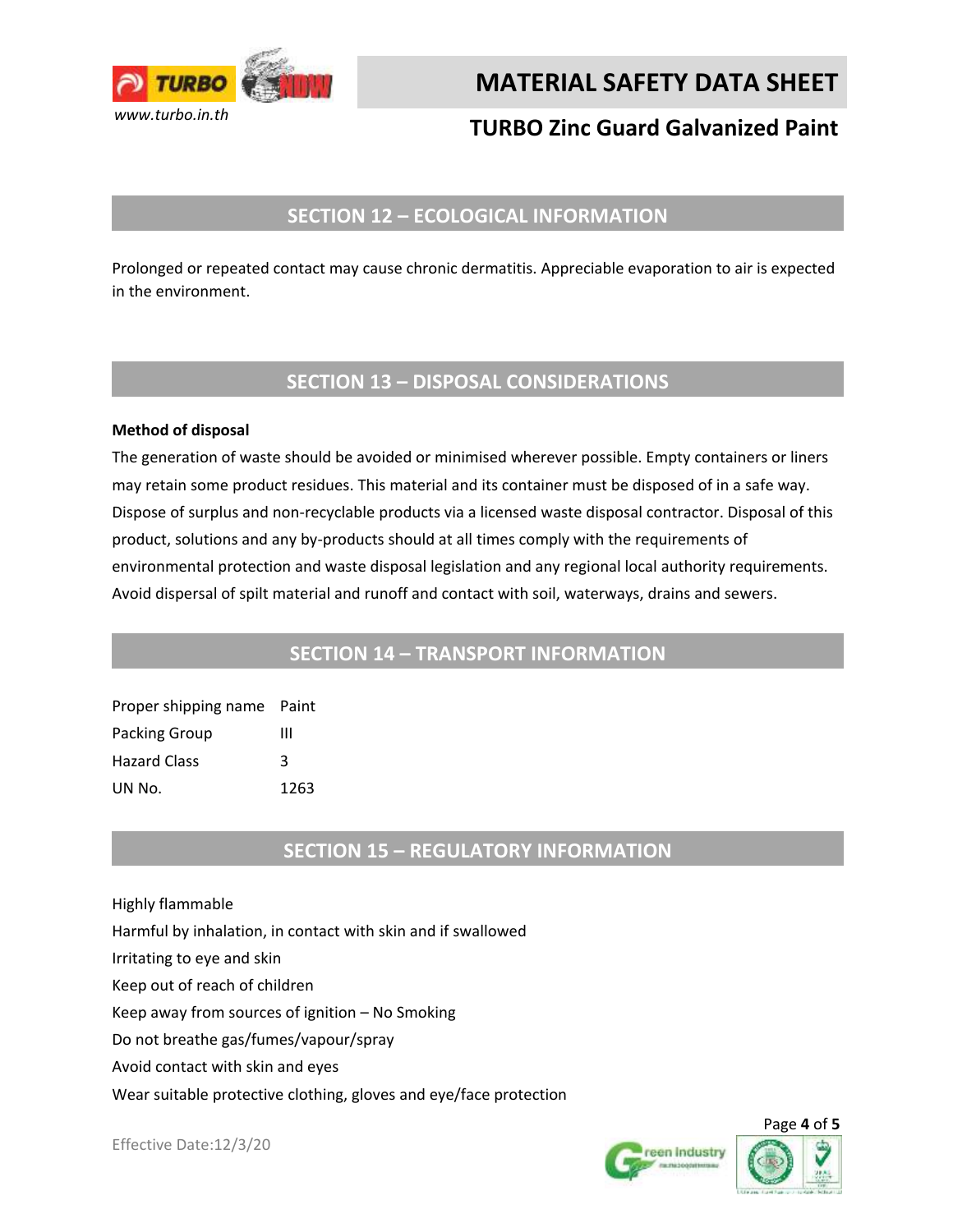

# **TURBO Zinc Guard Galvanized Paint**

## **SECTION 12 – ECOLOGICAL INFORMATION**

Prolonged or repeated contact may cause chronic dermatitis. Appreciable evaporation to air is expected in the environment.

#### **SECTION 13 – DISPOSAL CONSIDERATIONS**

#### **Method of disposal**

The generation of waste should be avoided or minimised wherever possible. Empty containers or liners may retain some product residues. This material and its container must be disposed of in a safe way. Dispose of surplus and non-recyclable products via a licensed waste disposal contractor. Disposal of this product, solutions and any by-products should at all times comply with the requirements of environmental protection and waste disposal legislation and any regional local authority requirements. Avoid dispersal of spilt material and runoff and contact with soil, waterways, drains and sewers.

#### **SECTION 14 – TRANSPORT INFORMATION**

Proper shipping name Paint Packing Group III Hazard Class 3 UN No. 1263

#### **SECTION 15 – REGULATORY INFORMATION**

Highly flammable

Harmful by inhalation, in contact with skin and if swallowed

Irritating to eye and skin

Keep out of reach of children

Keep away from sources of ignition – No Smoking

Do not breathe gas/fumes/vapour/spray

Avoid contact with skin and eyes

Wear suitable protective clothing, gloves and eye/face protection